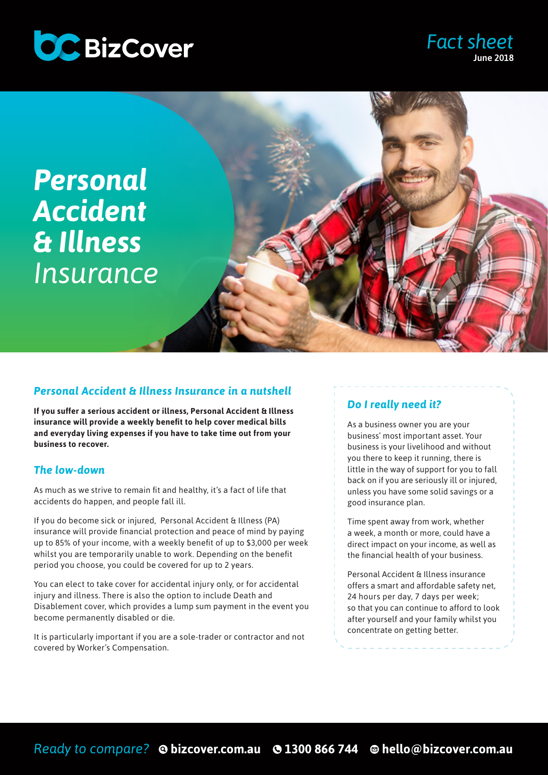

### *Fact sheet* June 2018

# *Personal Accident & Illness Insurance*



#### *Personal Accident & Illness Insurance in a nutshell*

**If you suffer a serious accident or illness, Personal Accident & Illness insurance will provide a weekly benefit to help cover medical bills and everyday living expenses if you have to take time out from your business to recover.** 

#### *The low-down*

As much as we strive to remain fit and healthy, it's a fact of life that accidents do happen, and people fall ill.

If you do become sick or injured, Personal Accident & Illness (PA) insurance will provide financial protection and peace of mind by paying up to 85% of your income, with a weekly benefit of up to \$3,000 per week whilst you are temporarily unable to work. Depending on the benefit period you choose, you could be covered for up to 2 years.

You can elect to take cover for accidental injury only, or for accidental injury and illness. There is also the option to include Death and Disablement cover, which provides a lump sum payment in the event you become permanently disabled or die.

It is particularly important if you are a sole-trader or contractor and not covered by Worker's Compensation.

#### *Do I really need it?*

As a business owner you are your business' most important asset. Your business is your livelihood and without you there to keep it running, there is little in the way of support for you to fall back on if you are seriously ill or injured, unless you have some solid savings or a good insurance plan.

Time spent away from work, whether a week, a month or more, could have a direct impact on your income, as well as the financial health of your business.

Personal Accident & Illness insurance offers a smart and affordable safety net, 24 hours per day, 7 days per week; so that you can continue to afford to look after yourself and your family whilst you concentrate on getting better.